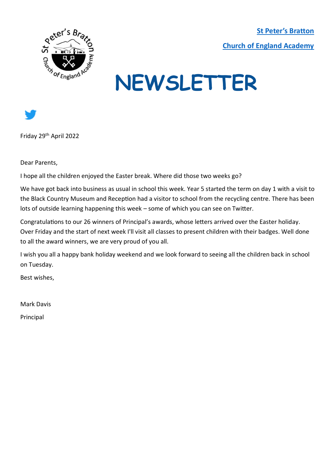**[St Peter's Bratton](https://www.brattonstpeters.org.uk/)  [Church of England Academy](https://www.brattonstpeters.org.uk/)**



## **NEWSLETTER**



Friday 29th April 2022

Dear Parents,

I hope all the children enjoyed the Easter break. Where did those two weeks go?

We have got back into business as usual in school this week. Year 5 started the term on day 1 with a visit to the Black Country Museum and Reception had a visitor to school from the recycling centre. There has been lots of outside learning happening this week – some of which you can see on Twitter.

Congratulations to our 26 winners of Principal's awards, whose letters arrived over the Easter holiday. Over Friday and the start of next week I'll visit all classes to present children with their badges. Well done to all the award winners, we are very proud of you all.

I wish you all a happy bank holiday weekend and we look forward to seeing all the children back in school on Tuesday.

Best wishes,

Mark Davis

Principal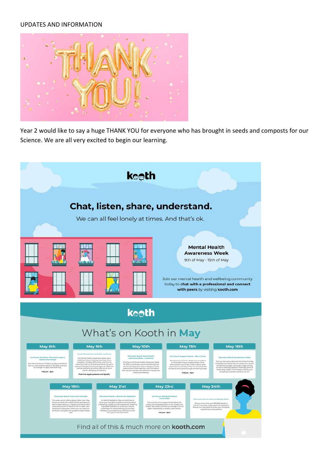## UPDATES AND INFORMATION



Year 2 would like to say a huge THANK YOU for everyone who has brought in seeds and composts for our Science. We are all very excited to begin our learning.

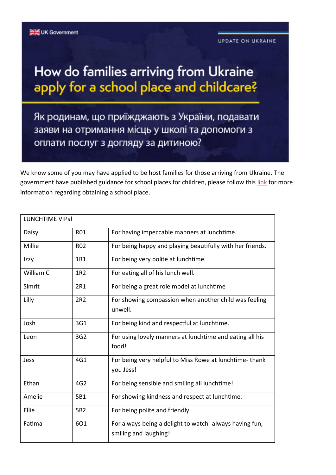## How do families arriving from Ukraine apply for a school place and childcare?

Як родинам, що приїжджають з України, подавати заяви на отримання місць у школі та допомоги з оплати послуг з догляду за дитиною?

We know some of you may have applied to be host families for those arriving from Ukraine. The government have published guidance for school places for children, please follow this link for more information regarding obtaining a school place.

| <b>LUNCHTIME VIPS!</b> |            |                                                                                  |
|------------------------|------------|----------------------------------------------------------------------------------|
| Daisy                  | R01        | For having impeccable manners at lunchtime.                                      |
| Millie                 | <b>R02</b> | For being happy and playing beautifully with her friends.                        |
| Izzy                   | 1R1        | For being very polite at lunchtime.                                              |
| William C              | 1R2        | For eating all of his lunch well.                                                |
| Simrit                 | 2R1        | For being a great role model at lunchtime                                        |
| Lilly                  | 2R2        | For showing compassion when another child was feeling<br>unwell.                 |
| Josh                   | 3G1        | For being kind and respectful at lunchtime.                                      |
| Leon                   | 3G2        | For using lovely manners at lunchtime and eating all his<br>food!                |
| Jess                   | 4G1        | For being very helpful to Miss Rowe at lunchtime-thank<br>you Jess!              |
| Ethan                  | 4G2        | For being sensible and smiling all lunchtime!                                    |
| Amelie                 | 5B1        | For showing kindness and respect at lunchtime.                                   |
| Ellie                  | 5B2        | For being polite and friendly.                                                   |
| Fatima                 | 601        | For always being a delight to watch- always having fun,<br>smiling and laughing! |